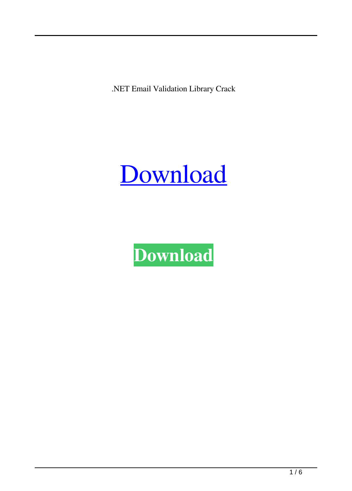.NET Email Validation Library Crack



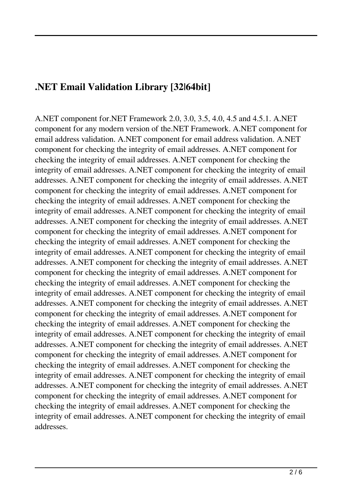#### **.NET Email Validation Library [32|64bit]**

A.NET component for.NET Framework 2.0, 3.0, 3.5, 4.0, 4.5 and 4.5.1. A.NET component for any modern version of the.NET Framework. A.NET component for email address validation. A.NET component for email address validation. A.NET component for checking the integrity of email addresses. A.NET component for checking the integrity of email addresses. A.NET component for checking the integrity of email addresses. A.NET component for checking the integrity of email addresses. A.NET component for checking the integrity of email addresses. A.NET component for checking the integrity of email addresses. A.NET component for checking the integrity of email addresses. A.NET component for checking the integrity of email addresses. A.NET component for checking the integrity of email addresses. A.NET component for checking the integrity of email addresses. A.NET component for checking the integrity of email addresses. A.NET component for checking the integrity of email addresses. A.NET component for checking the integrity of email addresses. A.NET component for checking the integrity of email addresses. A.NET component for checking the integrity of email addresses. A.NET component for checking the integrity of email addresses. A.NET component for checking the integrity of email addresses. A.NET component for checking the integrity of email addresses. A.NET component for checking the integrity of email addresses. A.NET component for checking the integrity of email addresses. A.NET component for checking the integrity of email addresses. A.NET component for checking the integrity of email addresses. A.NET component for checking the integrity of email addresses. A.NET component for checking the integrity of email addresses. A.NET component for checking the integrity of email addresses. A.NET component for checking the integrity of email addresses. A.NET component for checking the integrity of email addresses. A.NET component for checking the integrity of email addresses. A.NET component for checking the integrity of email addresses. A.NET component for checking the integrity of email addresses. A.NET component for checking the integrity of email addresses. A.NET component for checking the integrity of email addresses. A.NET component for checking the integrity of email addresses. A.NET component for checking the integrity of email addresses.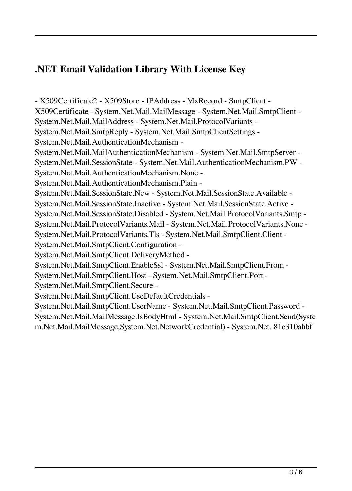## **.NET Email Validation Library With License Key**

- X509Certificate2 - X509Store - IPAddress - MxRecord - SmtpClient - X509Certificate - System.Net.Mail.MailMessage - System.Net.Mail.SmtpClient - System.Net.Mail.MailAddress - System.Net.Mail.ProtocolVariants - System.Net.Mail.SmtpReply - System.Net.Mail.SmtpClientSettings - System.Net.Mail.AuthenticationMechanism - System.Net.Mail.MailAuthenticationMechanism - System.Net.Mail.SmtpServer - System.Net.Mail.SessionState - System.Net.Mail.AuthenticationMechanism.PW - System.Net.Mail.AuthenticationMechanism.None - System.Net.Mail.AuthenticationMechanism.Plain - System.Net.Mail.SessionState.New - System.Net.Mail.SessionState.Available - System.Net.Mail.SessionState.Inactive - System.Net.Mail.SessionState.Active - System.Net.Mail.SessionState.Disabled - System.Net.Mail.ProtocolVariants.Smtp - System.Net.Mail.ProtocolVariants.Mail - System.Net.Mail.ProtocolVariants.None - System.Net.Mail.ProtocolVariants.Tls - System.Net.Mail.SmtpClient.Client - System.Net.Mail.SmtpClient.Configuration - System.Net.Mail.SmtpClient.DeliveryMethod - System.Net.Mail.SmtpClient.EnableSsl - System.Net.Mail.SmtpClient.From - System.Net.Mail.SmtpClient.Host - System.Net.Mail.SmtpClient.Port - System.Net.Mail.SmtpClient.Secure - System.Net.Mail.SmtpClient.UseDefaultCredentials - System.Net.Mail.SmtpClient.UserName - System.Net.Mail.SmtpClient.Password - System.Net.Mail.MailMessage.IsBodyHtml - System.Net.Mail.SmtpClient.Send(Syste m.Net.Mail.MailMessage,System.Net.NetworkCredential) - System.Net. 81e310abbf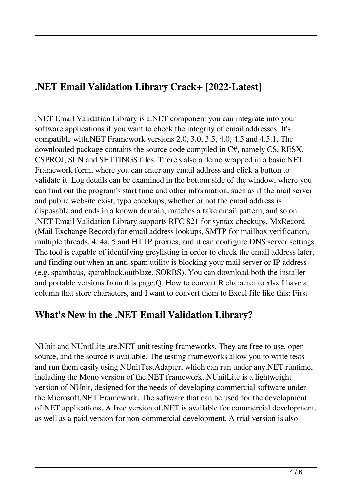### **.NET Email Validation Library Crack+ [2022-Latest]**

.NET Email Validation Library is a.NET component you can integrate into your software applications if you want to check the integrity of email addresses. It's compatible with.NET Framework versions 2.0, 3.0, 3.5, 4.0, 4.5 and 4.5.1. The downloaded package contains the source code compiled in C#, namely CS, RESX, CSPROJ, SLN and SETTINGS files. There's also a demo wrapped in a basic.NET Framework form, where you can enter any email address and click a button to validate it. Log details can be examined in the bottom side of the window, where you can find out the program's start time and other information, such as if the mail server and public website exist, typo checkups, whether or not the email address is disposable and ends in a known domain, matches a fake email pattern, and so on. .NET Email Validation Library supports RFC 821 for syntax checkups, MxRecord (Mail Exchange Record) for email address lookups, SMTP for mailbox verification, multiple threads, 4, 4a, 5 and HTTP proxies, and it can configure DNS server settings. The tool is capable of identifying greylisting in order to check the email address later, and finding out when an anti-spam utility is blocking your mail server or IP address (e.g. spamhaus, spamblock.outblaze, SORBS). You can download both the installer and portable versions from this page.Q: How to convert R character to xlsx I have a column that store characters, and I want to convert them to Excel file like this: First

#### **What's New in the .NET Email Validation Library?**

NUnit and NUnitLite are.NET unit testing frameworks. They are free to use, open source, and the source is available. The testing frameworks allow you to write tests and run them easily using NUnitTestAdapter, which can run under any.NET runtime, including the Mono version of the.NET framework. NUnitLite is a lightweight version of NUnit, designed for the needs of developing commercial software under the Microsoft.NET Framework. The software that can be used for the development of.NET applications. A free version of.NET is available for commercial development, as well as a paid version for non-commercial development. A trial version is also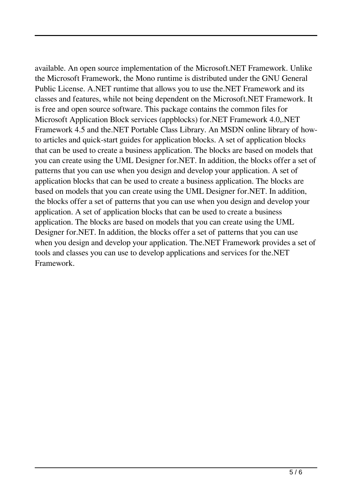available. An open source implementation of the Microsoft.NET Framework. Unlike the Microsoft Framework, the Mono runtime is distributed under the GNU General Public License. A.NET runtime that allows you to use the.NET Framework and its classes and features, while not being dependent on the Microsoft.NET Framework. It is free and open source software. This package contains the common files for Microsoft Application Block services (appblocks) for.NET Framework 4.0,.NET Framework 4.5 and the.NET Portable Class Library. An MSDN online library of howto articles and quick-start guides for application blocks. A set of application blocks that can be used to create a business application. The blocks are based on models that you can create using the UML Designer for.NET. In addition, the blocks offer a set of patterns that you can use when you design and develop your application. A set of application blocks that can be used to create a business application. The blocks are based on models that you can create using the UML Designer for.NET. In addition, the blocks offer a set of patterns that you can use when you design and develop your application. A set of application blocks that can be used to create a business application. The blocks are based on models that you can create using the UML Designer for.NET. In addition, the blocks offer a set of patterns that you can use when you design and develop your application. The.NET Framework provides a set of tools and classes you can use to develop applications and services for the.NET Framework.